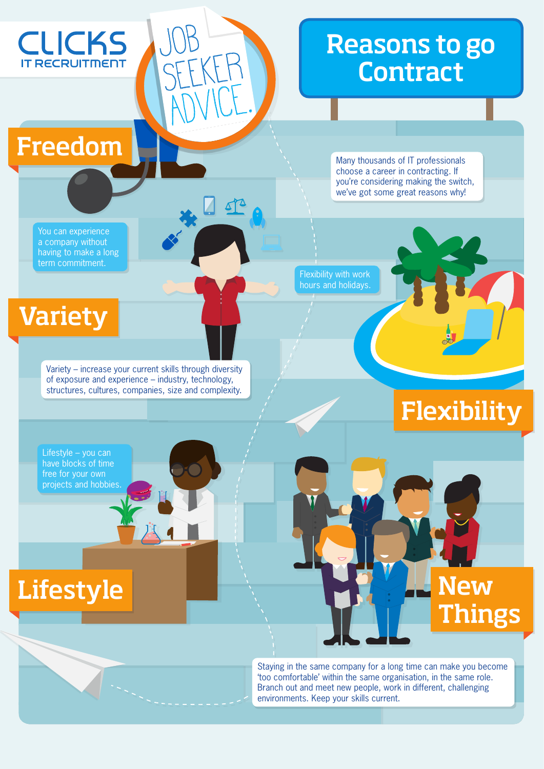

## Reasons to go **Contract**

Freedom

Many thousands of IT professionals choose a career in contracting. If you're considering making the switch, we've got some great reasons why!

You can experience a company without having to make a long term commitment.

Flexibility with work **hours and holidays.** 

## Variety

Variety – increase your current skills through diversity of exposure and experience – industry, technology, structures, cultures, companies, size and complexity.

Job

SEEKER

ADVICE.



Things

Lifestyle – you can have blocks of time free for your own projects and hobbies.

## Lifestyle **New Straw**

Staying in the same company for a long time can make you become 'too comfortable' within the same organisation, in the same role. Branch out and meet new people, work in different, challenging environments. Keep your skills current.